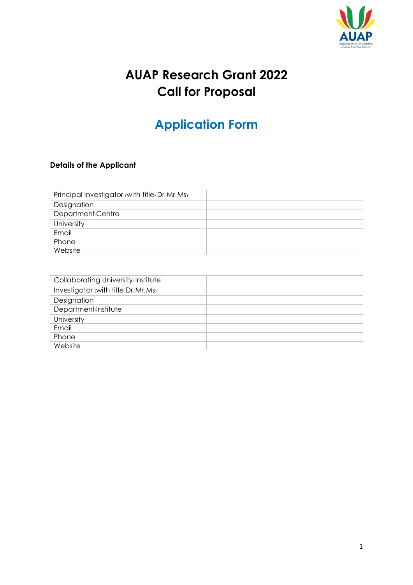

## **AUAP Research Grant 2022 Call for Proposal**

# **Application Form**

## **Details of the Applicant**

| Principal Investigator (with title-Dr. Mr. Ms) |  |
|------------------------------------------------|--|
| Designation                                    |  |
| Department/Centre                              |  |
| University                                     |  |
| Email                                          |  |
| Phone                                          |  |
| Website                                        |  |

| Collaborating University/Institute   |  |
|--------------------------------------|--|
| Investigator (with title Dr. Mr. Ms) |  |
| Designation                          |  |
| Department/Institute                 |  |
| University                           |  |
| Email                                |  |
| Phone                                |  |
| Website                              |  |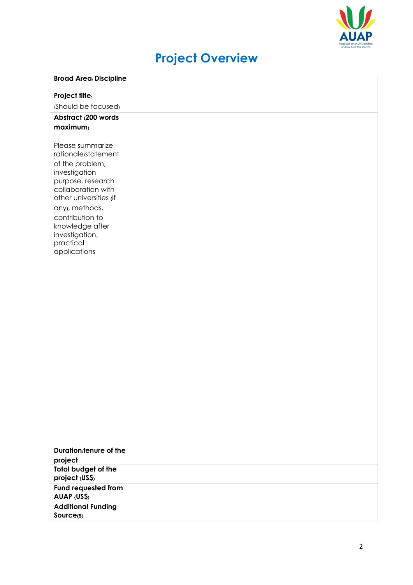

# **Project Overview**

| <b>Broad Area/Discipline</b>                                                                                                                                                                                                                            |  |
|---------------------------------------------------------------------------------------------------------------------------------------------------------------------------------------------------------------------------------------------------------|--|
| Project title:                                                                                                                                                                                                                                          |  |
| (Should be focused)                                                                                                                                                                                                                                     |  |
| Abstract (200 words                                                                                                                                                                                                                                     |  |
| maximum)                                                                                                                                                                                                                                                |  |
|                                                                                                                                                                                                                                                         |  |
| Please summarize<br>rationale/statement<br>of the problem,<br>investigation<br>purpose, research<br>collaboration with<br>other universities (if<br>any), methods,<br>contribution to<br>knowledge after<br>investigation,<br>practical<br>applications |  |
|                                                                                                                                                                                                                                                         |  |
|                                                                                                                                                                                                                                                         |  |
|                                                                                                                                                                                                                                                         |  |
|                                                                                                                                                                                                                                                         |  |
|                                                                                                                                                                                                                                                         |  |
|                                                                                                                                                                                                                                                         |  |
|                                                                                                                                                                                                                                                         |  |
|                                                                                                                                                                                                                                                         |  |
|                                                                                                                                                                                                                                                         |  |
| Duration/tenure of the                                                                                                                                                                                                                                  |  |
| project                                                                                                                                                                                                                                                 |  |
| Total budget of the                                                                                                                                                                                                                                     |  |
| project (US\$)                                                                                                                                                                                                                                          |  |
| Fund requested from<br>AUAP (US\$)                                                                                                                                                                                                                      |  |
| <b>Additional Funding</b>                                                                                                                                                                                                                               |  |
| Source(s)                                                                                                                                                                                                                                               |  |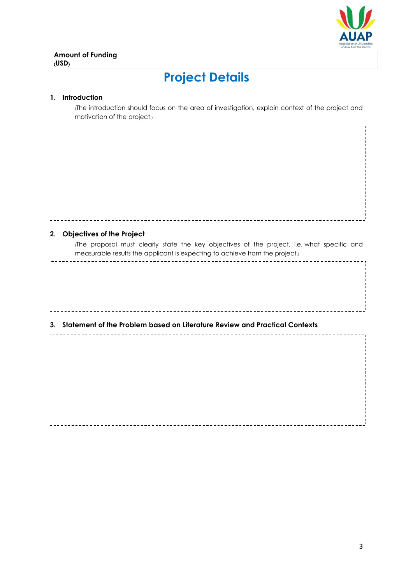

## **Project Details**

#### **1. Introduction**

(The introduction should focus on the area of investigation, explain context of the project and motivation of the project.)

#### **2. Objectives of the Project**

\_\_\_\_\_\_\_\_\_\_\_\_\_\_\_\_\_\_\_\_\_

(The proposal must clearly state the key objectives of the project, i.e. what specific and measurable results the applicant is expecting to achieve from the project.)

### **3. Statement of the Problem based on Literature Review and Practical Contexts**

 $- - - - - - - -$ 

. \_ \_ \_ \_ \_ \_ \_ \_ \_ \_ \_ \_ \_ \_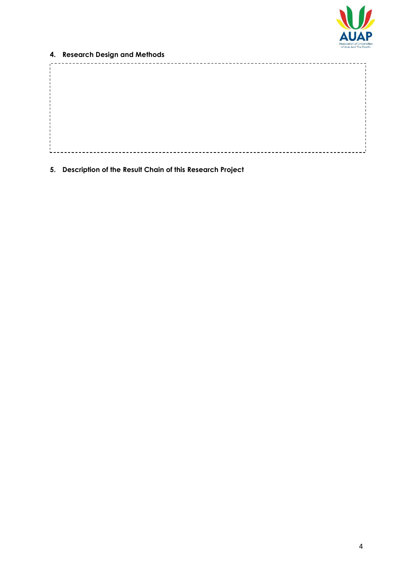

### **4. Research Design and Methods**

**5. Description of the Result Chain of this Research Project**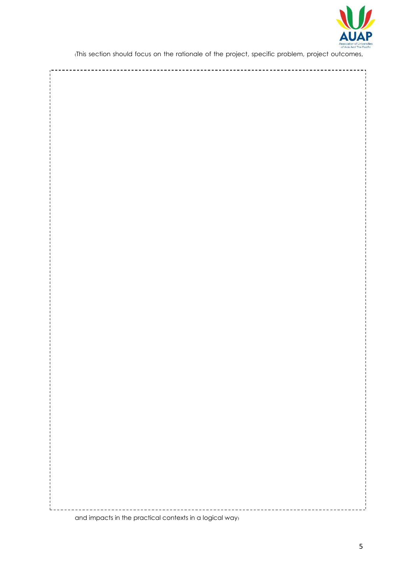

(This section should focus on the rationale of the project, specific problem, project outcomes,

.<br>Leeenee 

and impacts in the practical contexts in a logical way)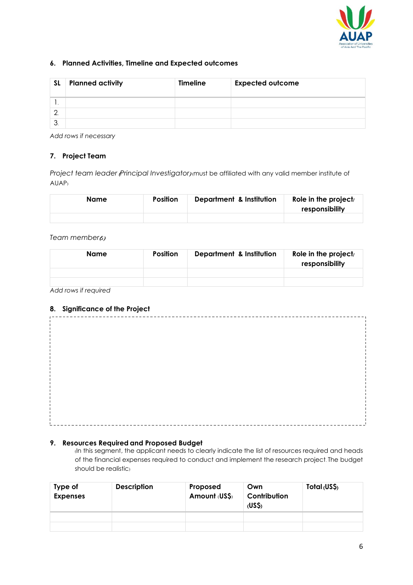

#### **6. Planned Activities, Timeline and Expected outcomes**

| <b>SL</b> | <b>Planned activity</b> | <b>Timeline</b> | <b>Expected outcome</b> |
|-----------|-------------------------|-----------------|-------------------------|
| . .       |                         |                 |                         |
|           |                         |                 |                         |
| ≏         |                         |                 |                         |

*Add rows if necessary*

#### **7. Project Team**

*Project team leader (Principal Investigator)* (*must be affiliated with any valid member institute of* AUAP)

| Name | <b>Position</b> | <b>Department &amp; Institution</b> | Role in the project/<br>responsibility |
|------|-----------------|-------------------------------------|----------------------------------------|
|      |                 |                                     |                                        |

#### *Team member*(*s*)

| Name | <b>Position</b> | Department & Institution | Role in the project/<br>responsibility |
|------|-----------------|--------------------------|----------------------------------------|
|      |                 |                          |                                        |
|      |                 |                          |                                        |

*Add rows if required*

#### **8. Significance of the Project**

#### **9. Resources Required and Proposed Budget**

(In this segment, the applicant needs to clearly indicate the list of resources required and heads of the financial expenses required to conduct and implement the research project. The budget should be realistic)

| Type of<br><b>Expenses</b> | <b>Description</b> | Proposed<br>Amount (US\$) | Own<br>Contribution<br>(USS) | Total (US\$) |
|----------------------------|--------------------|---------------------------|------------------------------|--------------|
|                            |                    |                           |                              |              |
|                            |                    |                           |                              |              |